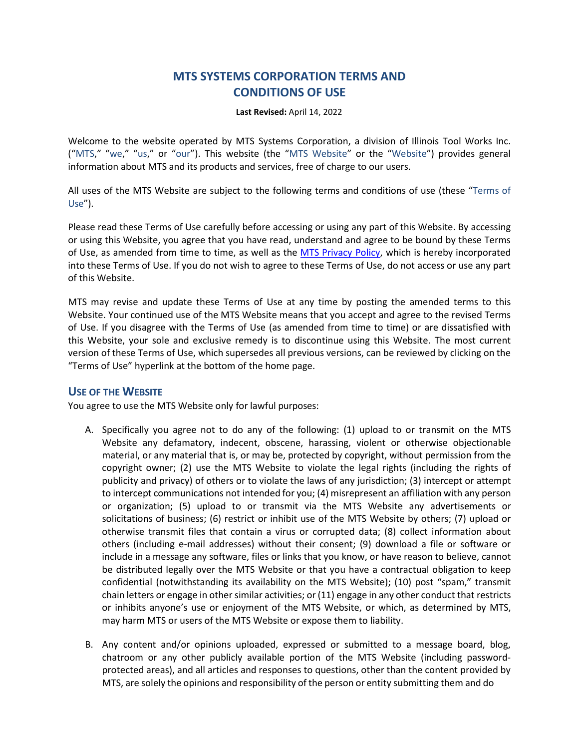# **MTS SYSTEMS CORPORATION TERMS AND CONDITIONS OF USE**

**Last Revised:** April 14, 2022

Welcome to the website operated by MTS Systems Corporation, a division of Illinois Tool Works Inc. ("MTS," "we," "us," or "our"). This website (the "MTS Website" or the "Website") provides general information about MTS and its products and services, free of charge to our users.

All uses of the MTS Website are subject to the following terms and conditions of use (these "Terms of Use").

Please read these Terms of Use carefully before accessing or using any part of this Website. By accessing or using this Website, you agree that you have read, understand and agree to be bound by these Terms of Use, as amended from time to time, as well as the MTS [Privacy Policy,](https://corp.mts.com/corpdocs/PrivacyPolicy.pdf) which is hereby incorporated into these Terms of Use. If you do not wish to agree to these Terms of Use, do not access or use any part of this Website.

MTS may revise and update these Terms of Use at any time by posting the amended terms to this Website. Your continued use of the MTS Website means that you accept and agree to the revised Terms of Use. If you disagree with the Terms of Use (as amended from time to time) or are dissatisfied with this Website, your sole and exclusive remedy is to discontinue using this Website. The most current version of these Terms of Use, which supersedes all previous versions, can be reviewed by clicking on the "Terms of Use" hyperlink at the bottom of the home page.

# **USE OF THE WEBSITE**

You agree to use the MTS Website only for lawful purposes:

- A. Specifically you agree not to do any of the following: (1) upload to or transmit on the MTS Website any defamatory, indecent, obscene, harassing, violent or otherwise objectionable material, or any material that is, or may be, protected by copyright, without permission from the copyright owner; (2) use the MTS Website to violate the legal rights (including the rights of publicity and privacy) of others or to violate the laws of any jurisdiction; (3) intercept or attempt to intercept communications not intended for you; (4) misrepresent an affiliation with any person or organization; (5) upload to or transmit via the MTS Website any advertisements or solicitations of business; (6) restrict or inhibit use of the MTS Website by others; (7) upload or otherwise transmit files that contain a virus or corrupted data; (8) collect information about others (including e-mail addresses) without their consent; (9) download a file or software or include in a message any software, files or links that you know, or have reason to believe, cannot be distributed legally over the MTS Website or that you have a contractual obligation to keep confidential (notwithstanding its availability on the MTS Website); (10) post "spam," transmit chain letters or engage in other similar activities; or (11) engage in any other conduct that restricts or inhibits anyone's use or enjoyment of the MTS Website, or which, as determined by MTS, may harm MTS or users of the MTS Website or expose them to liability.
- B. Any content and/or opinions uploaded, expressed or submitted to a message board, blog, chatroom or any other publicly available portion of the MTS Website (including passwordprotected areas), and all articles and responses to questions, other than the content provided by MTS, are solely the opinions and responsibility of the person or entity submitting them and do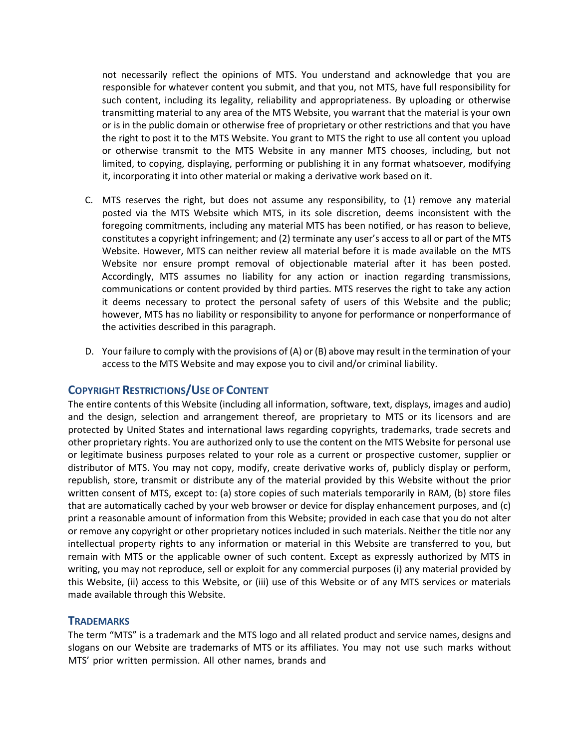not necessarily reflect the opinions of MTS. You understand and acknowledge that you are responsible for whatever content you submit, and that you, not MTS, have full responsibility for such content, including its legality, reliability and appropriateness. By uploading or otherwise transmitting material to any area of the MTS Website, you warrant that the material is your own or is in the public domain or otherwise free of proprietary or other restrictions and that you have the right to post it to the MTS Website. You grant to MTS the right to use all content you upload or otherwise transmit to the MTS Website in any manner MTS chooses, including, but not limited, to copying, displaying, performing or publishing it in any format whatsoever, modifying it, incorporating it into other material or making a derivative work based on it.

- C. MTS reserves the right, but does not assume any responsibility, to (1) remove any material posted via the MTS Website which MTS, in its sole discretion, deems inconsistent with the foregoing commitments, including any material MTS has been notified, or has reason to believe, constitutes a copyright infringement; and (2) terminate any user's access to all or part of the MTS Website. However, MTS can neither review all material before it is made available on the MTS Website nor ensure prompt removal of objectionable material after it has been posted. Accordingly, MTS assumes no liability for any action or inaction regarding transmissions, communications or content provided by third parties. MTS reserves the right to take any action it deems necessary to protect the personal safety of users of this Website and the public; however, MTS has no liability or responsibility to anyone for performance or nonperformance of the activities described in this paragraph.
- D. Your failure to comply with the provisions of (A) or (B) above may result in the termination of your access to the MTS Website and may expose you to civil and/or criminal liability.

# **COPYRIGHT RESTRICTIONS/USE OF CONTENT**

The entire contents of this Website (including all information, software, text, displays, images and audio) and the design, selection and arrangement thereof, are proprietary to MTS or its licensors and are protected by United States and international laws regarding copyrights, trademarks, trade secrets and other proprietary rights. You are authorized only to use the content on the MTS Website for personal use or legitimate business purposes related to your role as a current or prospective customer, supplier or distributor of MTS. You may not copy, modify, create derivative works of, publicly display or perform, republish, store, transmit or distribute any of the material provided by this Website without the prior written consent of MTS, except to: (a) store copies of such materials temporarily in RAM, (b) store files that are automatically cached by your web browser or device for display enhancement purposes, and (c) print a reasonable amount of information from this Website; provided in each case that you do not alter or remove any copyright or other proprietary notices included in such materials. Neither the title nor any intellectual property rights to any information or material in this Website are transferred to you, but remain with MTS or the applicable owner of such content. Except as expressly authorized by MTS in writing, you may not reproduce, sell or exploit for any commercial purposes (i) any material provided by this Website, (ii) access to this Website, or (iii) use of this Website or of any MTS services or materials made available through this Website.

#### **TRADEMARKS**

The term "MTS" is a trademark and the MTS logo and all related product and service names, designs and slogans on our Website are trademarks of MTS or its affiliates. You may not use such marks without MTS' prior written permission. All other names, brands and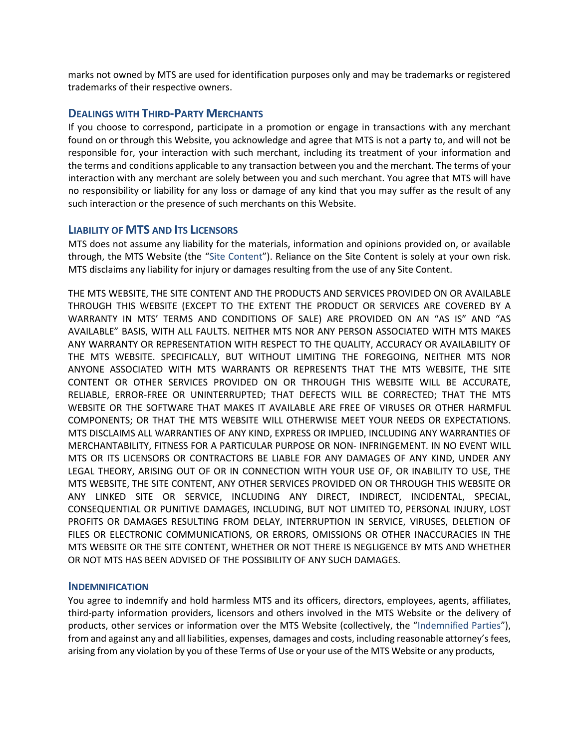marks not owned by MTS are used for identification purposes only and may be trademarks or registered trademarks of their respective owners.

## **DEALINGS WITH THIRD-PARTY MERCHANTS**

If you choose to correspond, participate in a promotion or engage in transactions with any merchant found on or through this Website, you acknowledge and agree that MTS is not a party to, and will not be responsible for, your interaction with such merchant, including its treatment of your information and the terms and conditions applicable to any transaction between you and the merchant. The terms of your interaction with any merchant are solely between you and such merchant. You agree that MTS will have no responsibility or liability for any loss or damage of any kind that you may suffer as the result of any such interaction or the presence of such merchants on this Website.

# **LIABILITY OF MTS AND ITS LICENSORS**

MTS does not assume any liability for the materials, information and opinions provided on, or available through, the MTS Website (the "Site Content"). Reliance on the Site Content is solely at your own risk. MTS disclaims any liability for injury or damages resulting from the use of any Site Content.

THE MTS WEBSITE, THE SITE CONTENT AND THE PRODUCTS AND SERVICES PROVIDED ON OR AVAILABLE THROUGH THIS WEBSITE (EXCEPT TO THE EXTENT THE PRODUCT OR SERVICES ARE COVERED BY A WARRANTY IN MTS' TERMS AND CONDITIONS OF SALE) ARE PROVIDED ON AN "AS IS" AND "AS AVAILABLE" BASIS, WITH ALL FAULTS. NEITHER MTS NOR ANY PERSON ASSOCIATED WITH MTS MAKES ANY WARRANTY OR REPRESENTATION WITH RESPECT TO THE QUALITY, ACCURACY OR AVAILABILITY OF THE MTS WEBSITE. SPECIFICALLY, BUT WITHOUT LIMITING THE FOREGOING, NEITHER MTS NOR ANYONE ASSOCIATED WITH MTS WARRANTS OR REPRESENTS THAT THE MTS WEBSITE, THE SITE CONTENT OR OTHER SERVICES PROVIDED ON OR THROUGH THIS WEBSITE WILL BE ACCURATE, RELIABLE, ERROR-FREE OR UNINTERRUPTED; THAT DEFECTS WILL BE CORRECTED; THAT THE MTS WEBSITE OR THE SOFTWARE THAT MAKES IT AVAILABLE ARE FREE OF VIRUSES OR OTHER HARMFUL COMPONENTS; OR THAT THE MTS WEBSITE WILL OTHERWISE MEET YOUR NEEDS OR EXPECTATIONS. MTS DISCLAIMS ALL WARRANTIES OF ANY KIND, EXPRESS OR IMPLIED, INCLUDING ANY WARRANTIES OF MERCHANTABILITY, FITNESS FOR A PARTICULAR PURPOSE OR NON- INFRINGEMENT. IN NO EVENT WILL MTS OR ITS LICENSORS OR CONTRACTORS BE LIABLE FOR ANY DAMAGES OF ANY KIND, UNDER ANY LEGAL THEORY, ARISING OUT OF OR IN CONNECTION WITH YOUR USE OF, OR INABILITY TO USE, THE MTS WEBSITE, THE SITE CONTENT, ANY OTHER SERVICES PROVIDED ON OR THROUGH THIS WEBSITE OR ANY LINKED SITE OR SERVICE, INCLUDING ANY DIRECT, INDIRECT, INCIDENTAL, SPECIAL, CONSEQUENTIAL OR PUNITIVE DAMAGES, INCLUDING, BUT NOT LIMITED TO, PERSONAL INJURY, LOST PROFITS OR DAMAGES RESULTING FROM DELAY, INTERRUPTION IN SERVICE, VIRUSES, DELETION OF FILES OR ELECTRONIC COMMUNICATIONS, OR ERRORS, OMISSIONS OR OTHER INACCURACIES IN THE MTS WEBSITE OR THE SITE CONTENT, WHETHER OR NOT THERE IS NEGLIGENCE BY MTS AND WHETHER OR NOT MTS HAS BEEN ADVISED OF THE POSSIBILITY OF ANY SUCH DAMAGES.

#### **INDEMNIFICATION**

You agree to indemnify and hold harmless MTS and its officers, directors, employees, agents, affiliates, third-party information providers, licensors and others involved in the MTS Website or the delivery of products, other services or information over the MTS Website (collectively, the "Indemnified Parties"), from and against any and all liabilities, expenses, damages and costs, including reasonable attorney's fees, arising from any violation by you of these Terms of Use or your use of the MTS Website or any products,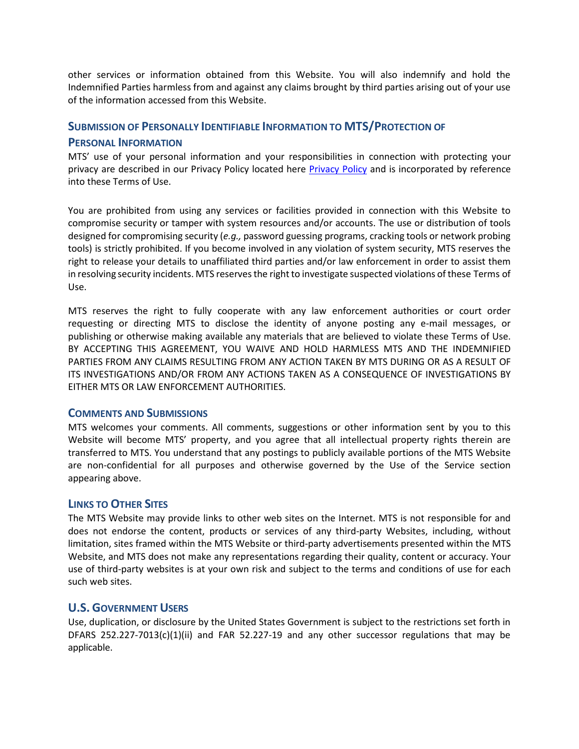other services or information obtained from this Website. You will also indemnify and hold the Indemnified Parties harmless from and against any claims brought by third parties arising out of your use of the information accessed from this Website.

## **SUBMISSION OF PERSONALLY IDENTIFIABLE INFORMATION TO MTS/PROTECTION OF**

## **PERSONAL INFORMATION**

MTS' use of your personal information and your responsibilities in connection with protecting your privacy are described in our Privacy Policy located here [Privacy Policy](https://corp.mts.com/corpdocs/PrivacyPolicy.pdf) and is incorporated by reference into these Terms of Use.

You are prohibited from using any services or facilities provided in connection with this Website to compromise security or tamper with system resources and/or accounts. The use or distribution of tools designed for compromising security (*e.g.,* password guessing programs, cracking tools or network probing tools) is strictly prohibited. If you become involved in any violation of system security, MTS reserves the right to release your details to unaffiliated third parties and/or law enforcement in order to assist them in resolving security incidents. MTS reserves the right to investigate suspected violations of these Terms of Use.

MTS reserves the right to fully cooperate with any law enforcement authorities or court order requesting or directing MTS to disclose the identity of anyone posting any e-mail messages, or publishing or otherwise making available any materials that are believed to violate these Terms of Use. BY ACCEPTING THIS AGREEMENT, YOU WAIVE AND HOLD HARMLESS MTS AND THE INDEMNIFIED PARTIES FROM ANY CLAIMS RESULTING FROM ANY ACTION TAKEN BY MTS DURING OR AS A RESULT OF ITS INVESTIGATIONS AND/OR FROM ANY ACTIONS TAKEN AS A CONSEQUENCE OF INVESTIGATIONS BY EITHER MTS OR LAW ENFORCEMENT AUTHORITIES.

# **COMMENTS AND SUBMISSIONS**

MTS welcomes your comments. All comments, suggestions or other information sent by you to this Website will become MTS' property, and you agree that all intellectual property rights therein are transferred to MTS. You understand that any postings to publicly available portions of the MTS Website are non-confidential for all purposes and otherwise governed by the Use of the Service section appearing above.

# **LINKS TO OTHER SITES**

The MTS Website may provide links to other web sites on the Internet. MTS is not responsible for and does not endorse the content, products or services of any third-party Websites, including, without limitation, sites framed within the MTS Website or third-party advertisements presented within the MTS Website, and MTS does not make any representations regarding their quality, content or accuracy. Your use of third-party websites is at your own risk and subject to the terms and conditions of use for each such web sites.

# **U.S. GOVERNMENT USERS**

Use, duplication, or disclosure by the United States Government is subject to the restrictions set forth in DFARS 252.227-7013(c)(1)(ii) and FAR 52.227-19 and any other successor regulations that may be applicable.